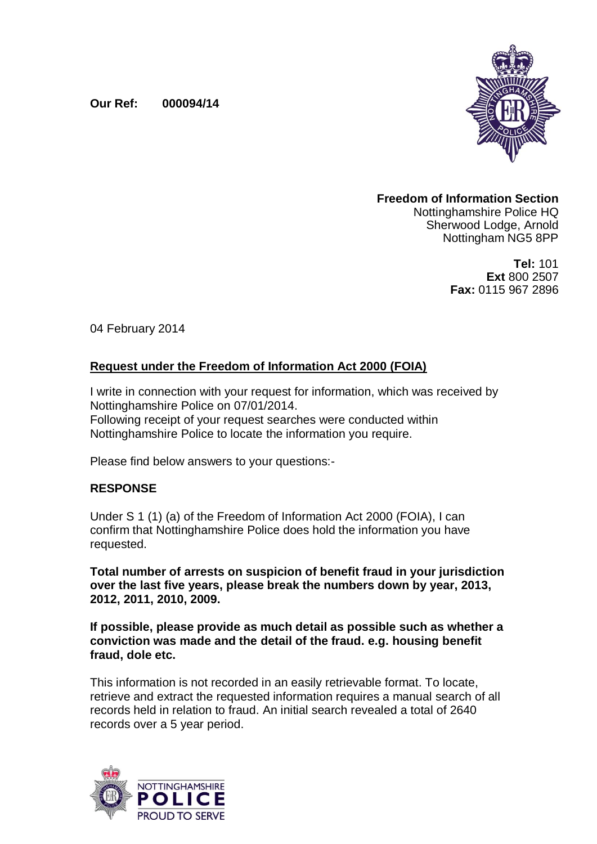## **Our Ref: 000094/14**



### **Freedom of Information Section** Nottinghamshire Police HQ Sherwood Lodge, Arnold

**Tel:** 101 **Ext** 800 2507 **Fax:** 0115 967 2896

Nottingham NG5 8PP

04 February 2014

# **Request under the Freedom of Information Act 2000 (FOIA)**

I write in connection with your request for information, which was received by Nottinghamshire Police on 07/01/2014. Following receipt of your request searches were conducted within Nottinghamshire Police to locate the information you require.

Please find below answers to your questions:-

## **RESPONSE**

Under S 1 (1) (a) of the Freedom of Information Act 2000 (FOIA), I can confirm that Nottinghamshire Police does hold the information you have requested.

**Total number of arrests on suspicion of benefit fraud in your jurisdiction over the last five years, please break the numbers down by year, 2013, 2012, 2011, 2010, 2009.**

**If possible, please provide as much detail as possible such as whether a conviction was made and the detail of the fraud. e.g. housing benefit fraud, dole etc.**

This information is not recorded in an easily retrievable format. To locate, retrieve and extract the requested information requires a manual search of all records held in relation to fraud. An initial search revealed a total of 2640 records over a 5 year period.

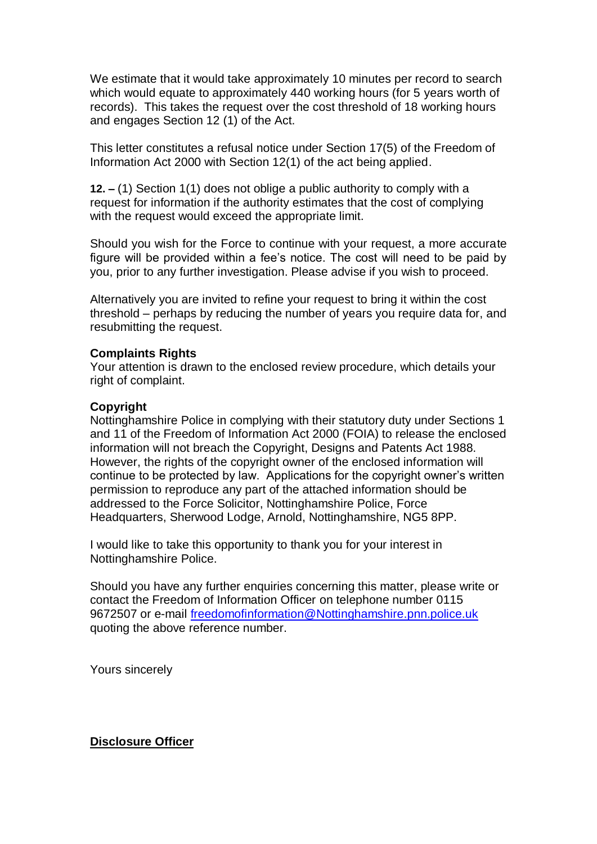We estimate that it would take approximately 10 minutes per record to search which would equate to approximately 440 working hours (for 5 years worth of records). This takes the request over the cost threshold of 18 working hours and engages Section 12 (1) of the Act.

This letter constitutes a refusal notice under Section 17(5) of the Freedom of Information Act 2000 with Section 12(1) of the act being applied.

**12. –** (1) Section 1(1) does not oblige a public authority to comply with a request for information if the authority estimates that the cost of complying with the request would exceed the appropriate limit.

Should you wish for the Force to continue with your request, a more accurate figure will be provided within a fee's notice. The cost will need to be paid by you, prior to any further investigation. Please advise if you wish to proceed.

Alternatively you are invited to refine your request to bring it within the cost threshold – perhaps by reducing the number of years you require data for, and resubmitting the request.

#### **Complaints Rights**

Your attention is drawn to the enclosed review procedure, which details your right of complaint.

#### **Copyright**

Nottinghamshire Police in complying with their statutory duty under Sections 1 and 11 of the Freedom of Information Act 2000 (FOIA) to release the enclosed information will not breach the Copyright, Designs and Patents Act 1988. However, the rights of the copyright owner of the enclosed information will continue to be protected by law. Applications for the copyright owner's written permission to reproduce any part of the attached information should be addressed to the Force Solicitor, Nottinghamshire Police, Force Headquarters, Sherwood Lodge, Arnold, Nottinghamshire, NG5 8PP.

I would like to take this opportunity to thank you for your interest in Nottinghamshire Police.

Should you have any further enquiries concerning this matter, please write or contact the Freedom of Information Officer on telephone number 0115 9672507 or e-mail [freedomofinformation@Nottinghamshire.pnn.police.uk](mailto:freedomofinformation@Nottinghamshire.pnn.police.uk) quoting the above reference number.

Yours sincerely

#### **Disclosure Officer**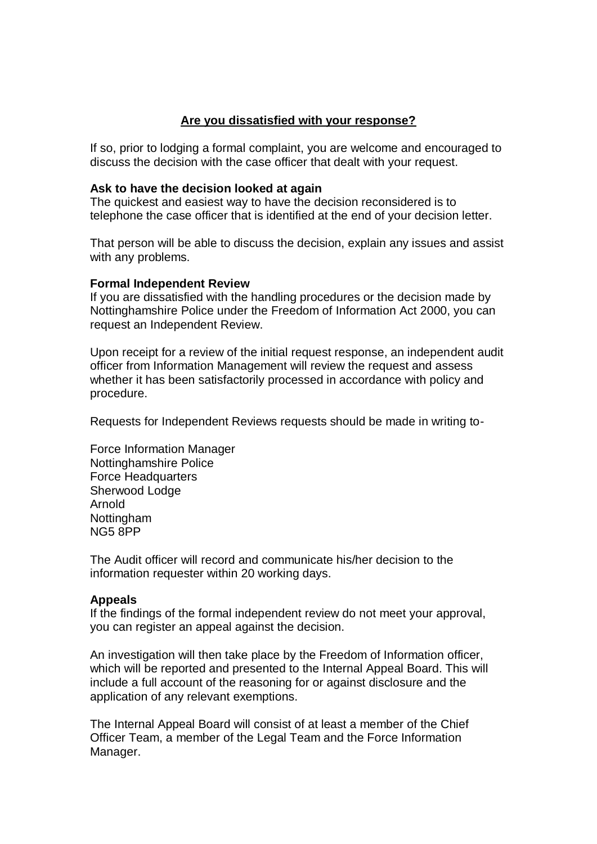## **Are you dissatisfied with your response?**

If so, prior to lodging a formal complaint, you are welcome and encouraged to discuss the decision with the case officer that dealt with your request.

### **Ask to have the decision looked at again**

The quickest and easiest way to have the decision reconsidered is to telephone the case officer that is identified at the end of your decision letter.

That person will be able to discuss the decision, explain any issues and assist with any problems.

### **Formal Independent Review**

If you are dissatisfied with the handling procedures or the decision made by Nottinghamshire Police under the Freedom of Information Act 2000, you can request an Independent Review.

Upon receipt for a review of the initial request response, an independent audit officer from Information Management will review the request and assess whether it has been satisfactorily processed in accordance with policy and procedure.

Requests for Independent Reviews requests should be made in writing to-

Force Information Manager Nottinghamshire Police Force Headquarters Sherwood Lodge Arnold Nottingham NG5 8PP

The Audit officer will record and communicate his/her decision to the information requester within 20 working days.

### **Appeals**

If the findings of the formal independent review do not meet your approval, you can register an appeal against the decision.

An investigation will then take place by the Freedom of Information officer, which will be reported and presented to the Internal Appeal Board. This will include a full account of the reasoning for or against disclosure and the application of any relevant exemptions.

The Internal Appeal Board will consist of at least a member of the Chief Officer Team, a member of the Legal Team and the Force Information Manager.